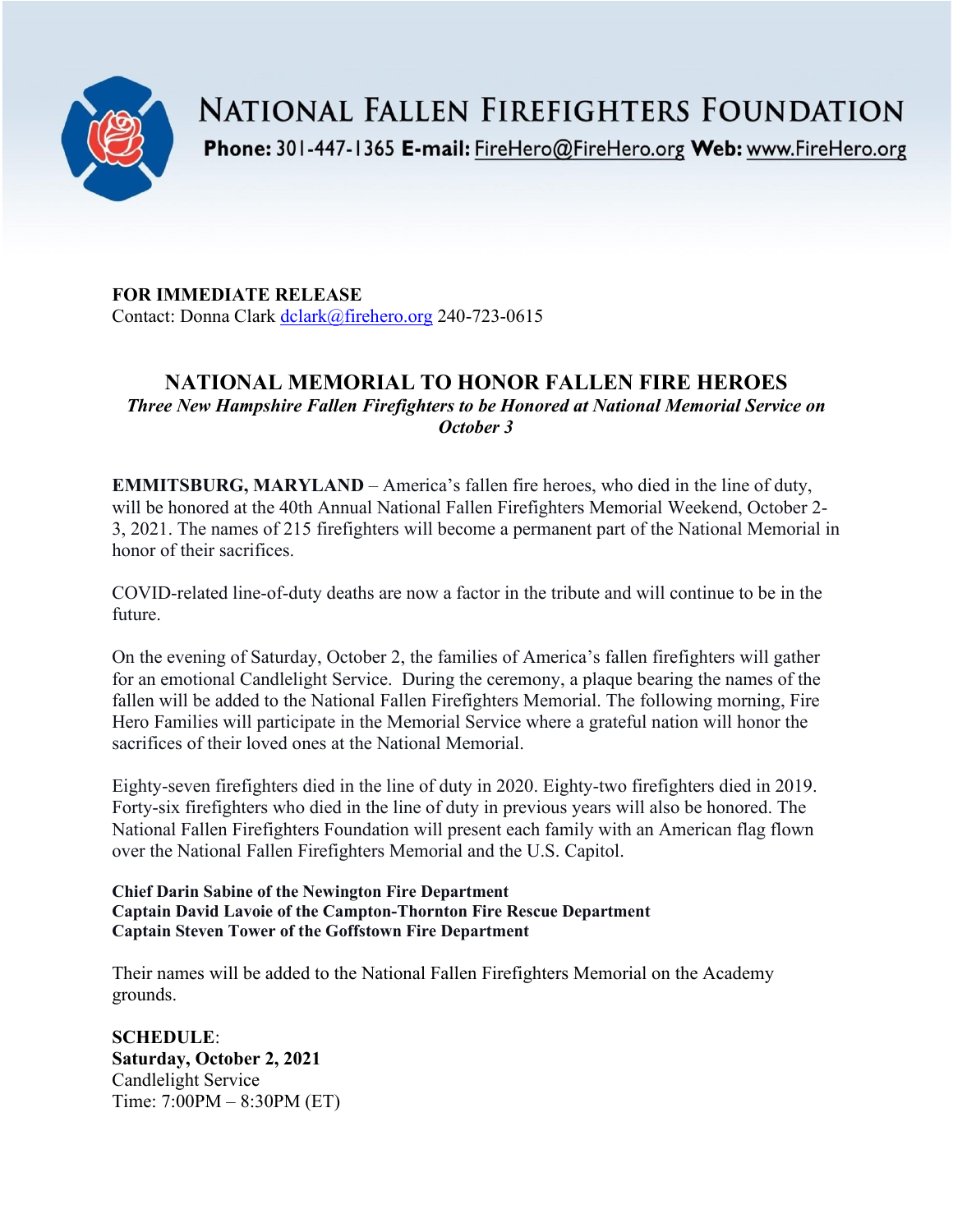

**NATIONAL FALLEN FIREFIGHTERS FOUNDATION** 

Phone: 301-447-1365 E-mail: FireHero@FireHero.org Web: www.FireHero.org

**FOR IMMEDIATE RELEASE** Contact: Donna Clark [dclark@firehero.org](mailto:dclark@firehero.org) 240-723-0615

# **NATIONAL MEMORIAL TO HONOR FALLEN FIRE HEROES** *Three New Hampshire Fallen Firefighters to be Honored at National Memorial Service on October 3*

**EMMITSBURG, MARYLAND** – America's fallen fire heroes, who died in the line of duty, will be honored at the 40th Annual National Fallen Firefighters Memorial Weekend, October 2- 3, 2021. The names of 215 firefighters will become a permanent part of the National Memorial in honor of their sacrifices.

COVID-related line-of-duty deaths are now a factor in the tribute and will continue to be in the future.

On the evening of Saturday, October 2, the families of America's fallen firefighters will gather for an emotional Candlelight Service. During the ceremony, a plaque bearing the names of the fallen will be added to the National Fallen Firefighters Memorial. The following morning, Fire Hero Families will participate in the Memorial Service where a grateful nation will honor the sacrifices of their loved ones at the National Memorial.

Eighty-seven firefighters died in the line of duty in 2020. Eighty-two firefighters died in 2019. Forty-six firefighters who died in the line of duty in previous years will also be honored. The National Fallen Firefighters Foundation will present each family with an American flag flown over the National Fallen Firefighters Memorial and the U.S. Capitol.

**Chief Darin Sabine of the Newington Fire Department Captain David Lavoie of the Campton-Thornton Fire Rescue Department Captain Steven Tower of the Goffstown Fire Department**

Their names will be added to the National Fallen Firefighters Memorial on the Academy grounds.

**SCHEDULE**: **Saturday, October 2, 2021** Candlelight Service Time: 7:00PM – 8:30PM (ET)